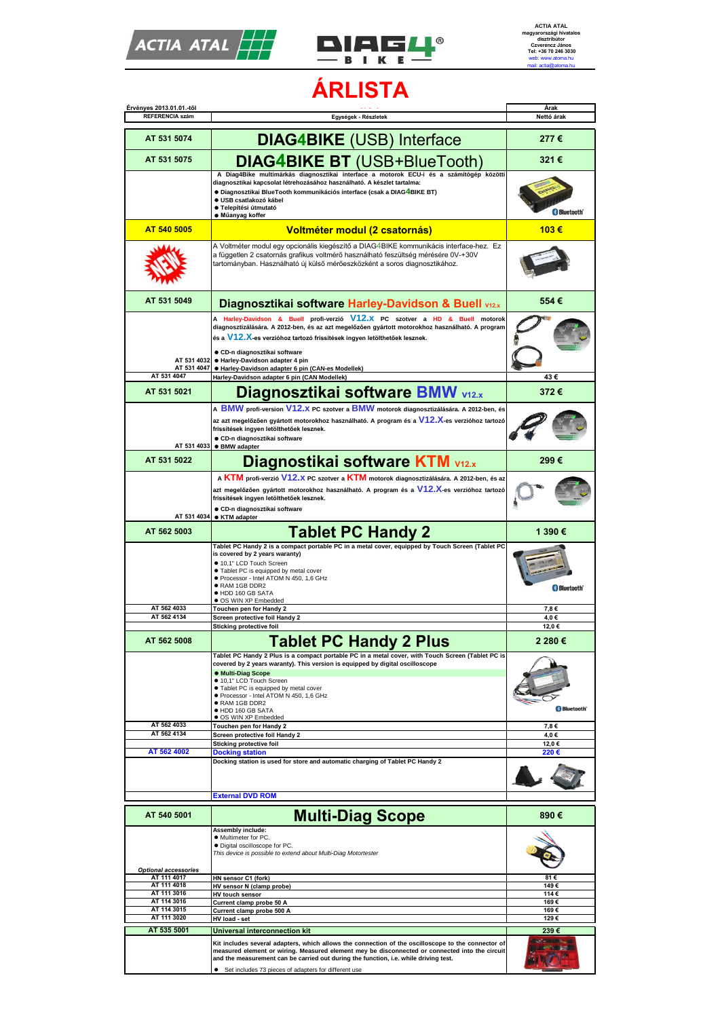



**ÁRLISTA**

| Érvényes 2013.01.01.-től                                  |                                                                                                                                                                                                      | Árak               |
|-----------------------------------------------------------|------------------------------------------------------------------------------------------------------------------------------------------------------------------------------------------------------|--------------------|
| <b>REFERENCIA szám</b>                                    | Egységek - Részletek                                                                                                                                                                                 | Nettó árak         |
|                                                           |                                                                                                                                                                                                      |                    |
| AT 531 5074                                               | <b>DIAG4BIKE (USB) Interface</b>                                                                                                                                                                     | 277€               |
| AT 531 5075                                               | <b>DIAG4BIKE BT (USB+BlueTooth)</b>                                                                                                                                                                  | 321€               |
|                                                           | A Diag4Bike multimárkás diagnosztikai interface a motorok ECU-i és a számítógép közötti                                                                                                              |                    |
|                                                           | diagnosztikai kapcsolat létrehozásához használható. A készlet tartalma:                                                                                                                              |                    |
|                                                           | ● Diagnosztikai BlueTooth kommunikációs interface (csak a DIAG4BIKE BT)                                                                                                                              |                    |
|                                                           | · USB csatlakozó kábel                                                                                                                                                                               |                    |
|                                                           | · Telepítési útmutató                                                                                                                                                                                | <b>B</b> Bluetooth |
| AT 540 5005                                               | · Műanyag koffer                                                                                                                                                                                     |                    |
|                                                           | Voltméter modul (2 csatornás)<br>A Voltméter modul egy opcionális kiegészítő a DIAG4BIKE kommunikácis interface-hez. Ez                                                                              | 103€               |
|                                                           | a független 2 csatornás grafikus voltmérő használható feszültség mérésére 0V-+30V                                                                                                                    |                    |
|                                                           | tartományban. Használható új külső mérőeszközként a soros diagnosztikához.                                                                                                                           |                    |
|                                                           |                                                                                                                                                                                                      |                    |
|                                                           |                                                                                                                                                                                                      |                    |
|                                                           |                                                                                                                                                                                                      |                    |
| AT 531 5049                                               | Diagnosztikai software Harley-Davidson & Buell V12.x                                                                                                                                                 | 554€               |
|                                                           | A Harley-Davidson & Buell profi-verzió V12.X PC szotver a HD & Buell motorok                                                                                                                         |                    |
|                                                           | diagnosztizálására. A 2012-ben, és az azt megelőzően gyártott motorokhoz használható. A program                                                                                                      |                    |
|                                                           | és a V12.X-es verzióhoz tartozó frissítések ingyen letölthetőek lesznek.                                                                                                                             |                    |
|                                                           | ● CD-n diagnosztikai software                                                                                                                                                                        |                    |
| AT 531 4032                                               | · Harley-Davidson adapter 4 pin                                                                                                                                                                      |                    |
| AT 531 4047<br>AT 531 4047                                | · Harley-Davidson adapter 6 pin (CAN-es Modellek)<br>Harley-Davidson adapter 6 pin (CAN Modellek)                                                                                                    | 43€                |
|                                                           |                                                                                                                                                                                                      |                    |
| AT 531 5021                                               | Diagnosztikai software BMW v12.x                                                                                                                                                                     | 372€               |
|                                                           | A BMW profi-version V12.X PC szotver a BMW motorok diagnosztizálására. A 2012-ben, és                                                                                                                |                    |
|                                                           | az azt megelőzően gyártott motorokhoz használható. A program és a V12.X-es verzióhoz tartozó                                                                                                         |                    |
|                                                           | frissítések ingyen letölthetőek lesznek.                                                                                                                                                             |                    |
|                                                           | ● CD-n diagnosztikai software                                                                                                                                                                        |                    |
| AT 531 4033                                               | <b>• BMW adapter</b>                                                                                                                                                                                 |                    |
| AT 531 5022                                               | <b>Diagnostikai software KTM v12.x</b>                                                                                                                                                               | 299€               |
|                                                           | A KTM profi-verzió V12.X PC szotver a KTM motorok diagnosztizálására. A 2012-ben, és az                                                                                                              |                    |
|                                                           | azt megelőzően gyártott motorokhoz használható. A program és a $V12.X$ -es verzióhoz tartozó                                                                                                         |                    |
|                                                           | frissítések ingyen letölthetőek lesznek.                                                                                                                                                             |                    |
|                                                           | CD-n diagnosztikai software                                                                                                                                                                          |                    |
| AT 531 4034                                               | ● KTM adapter                                                                                                                                                                                        |                    |
| AT 562 5003                                               | <b>Tablet PC Handy 2</b>                                                                                                                                                                             | 1 390€             |
|                                                           | Tablet PC Handy 2 is a compact portable PC in a metal cover, equipped by Touch Screen (Tablet PC                                                                                                     |                    |
|                                                           | is covered by 2 years waranty)                                                                                                                                                                       |                    |
|                                                           | ● 10,1" LCD Touch Screen                                                                                                                                                                             |                    |
|                                                           | . Tablet PC is equipped by metal cover<br>● Processor - Intel ATOM N 450, 1,6 GHz                                                                                                                    |                    |
|                                                           | · RAM 1GB DDR2                                                                                                                                                                                       | <b>Bluetooth</b>   |
|                                                           | · HDD 160 GB SATA                                                                                                                                                                                    |                    |
| AT 562 4033                                               | · OS WIN XP Embedded<br>Touchen pen for Handy 2                                                                                                                                                      | 7,8€               |
| AT 562 4134                                               | Screen protective foil Handy 2                                                                                                                                                                       | 4,0€               |
|                                                           | <b>Sticking protective foil</b>                                                                                                                                                                      | 12,0 €             |
| AT 562 5008                                               | <b>Tablet PC Handy 2 Plus</b>                                                                                                                                                                        | 2 280€             |
|                                                           | Tablet PC Handy 2 Plus is a compact portable PC in a metal cover, with Touch Screen (Tablet PC is                                                                                                    |                    |
|                                                           | covered by 2 years waranty). This version is equipped by digital oscilloscope                                                                                                                        |                    |
|                                                           | <b>.</b> Multi-Diag Scope                                                                                                                                                                            |                    |
|                                                           | ● 10,1" LCD Touch Screen<br>• Tablet PC is equipped by metal cover                                                                                                                                   |                    |
|                                                           | ● Processor - Intel ATOM N 450, 1,6 GHz                                                                                                                                                              |                    |
|                                                           | • RAM 1GB DDR2<br>· HDD 160 GB SATA                                                                                                                                                                  | <b>Bluetooth</b>   |
|                                                           | · OS WIN XP Embedded                                                                                                                                                                                 |                    |
| AT 562 4033                                               | Touchen pen for Handy 2                                                                                                                                                                              | 7,8€               |
| AT 562 4134                                               | Screen protective foil Handy 2                                                                                                                                                                       | 4,0€               |
|                                                           | <b>Sticking protective foil</b>                                                                                                                                                                      | 12,0 €             |
| AT 562 4002                                               | <b>Docking station</b><br>Docking station is used for store and automatic charging of Tablet PC Handy 2                                                                                              | 220€               |
|                                                           |                                                                                                                                                                                                      |                    |
|                                                           |                                                                                                                                                                                                      |                    |
|                                                           |                                                                                                                                                                                                      |                    |
|                                                           | <b>External DVD ROM</b>                                                                                                                                                                              |                    |
| AT 540 5001                                               |                                                                                                                                                                                                      | 890 €              |
|                                                           | <b>Multi-Diag Scope</b>                                                                                                                                                                              |                    |
|                                                           | Assembly include:                                                                                                                                                                                    |                    |
|                                                           | • Multimeter for PC.                                                                                                                                                                                 |                    |
|                                                           | • Digital oscilloscope for PC.                                                                                                                                                                       |                    |
|                                                           | This device is possible to extend about Multi-Diag Motortester                                                                                                                                       |                    |
|                                                           |                                                                                                                                                                                                      |                    |
| AT 111 4017<br>AT 111 4018                                | HN sensor C1 (fork)<br>HV sensor N (clamp probe)                                                                                                                                                     | 81 €<br>149€       |
| AT 111 3016                                               | HV touch sensor                                                                                                                                                                                      | 114€               |
| AT 114 3016                                               | Current clamp probe 50 A                                                                                                                                                                             | 169€               |
| <b>Optional accessories</b><br>AT 114 3015<br>AT 111 3020 | Current clamp probe 500 A                                                                                                                                                                            | 169€               |
|                                                           | HV load - set                                                                                                                                                                                        | 129€               |
| AT 535 5001                                               | Universal interconnection kit                                                                                                                                                                        | 239€               |
|                                                           | Kit includes several adapters, which allows the connection of the oscilloscope to the connector of<br>measured element or wiring. Measured element mey be disconnected or connected into the circuit |                    |
|                                                           | and the measurement can be carried out during the function, i.e. while driving test.                                                                                                                 |                    |